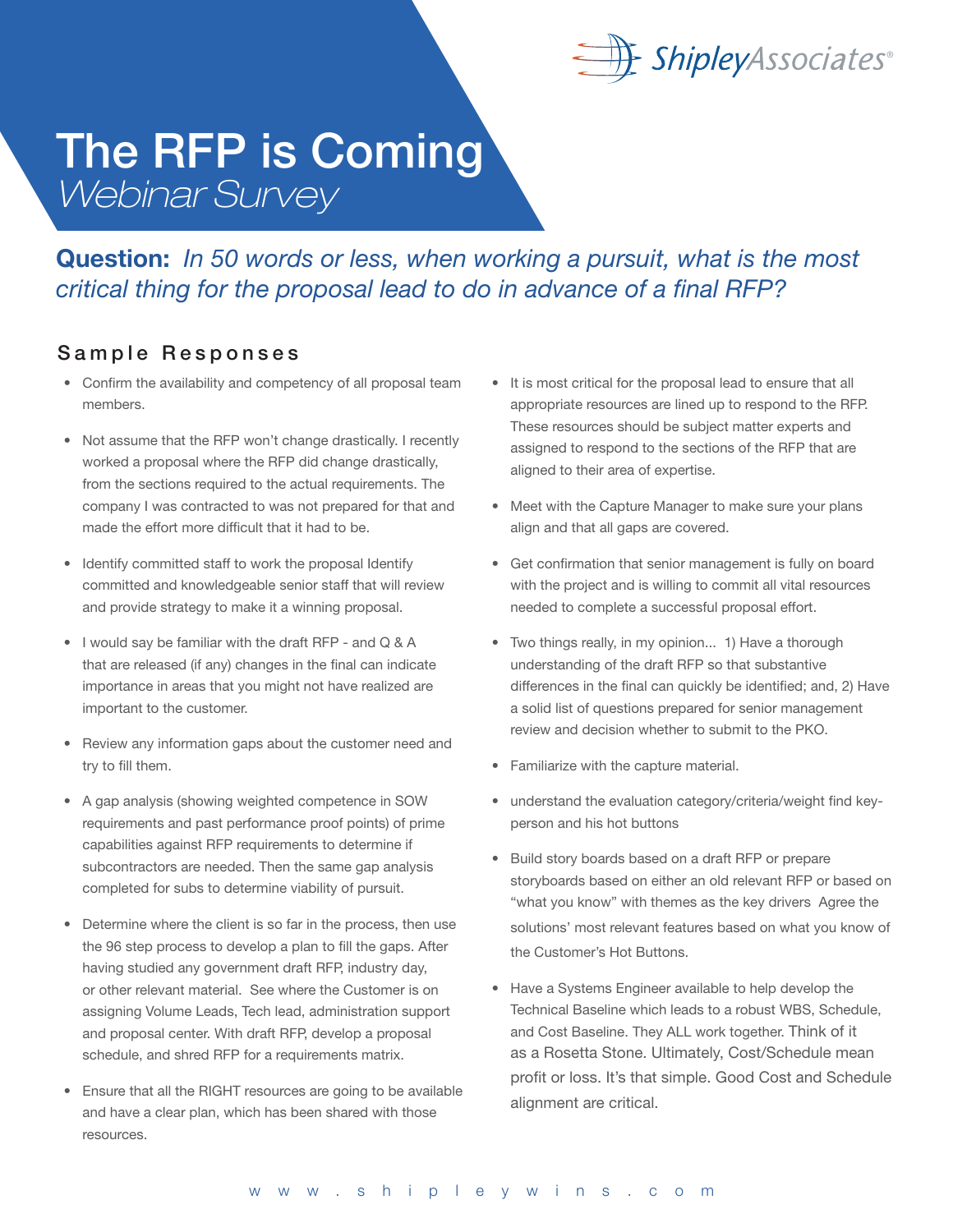

### Question: *In 50 words or less, when working a pursuit, what is the most critical thing for the proposal lead to do in advance of a final RFP?*

#### Sample Responses

- Confirm the availability and competency of all proposal team members.
- Not assume that the RFP won't change drastically. I recently worked a proposal where the RFP did change drastically, from the sections required to the actual requirements. The company I was contracted to was not prepared for that and made the effort more difficult that it had to be.
- Identify committed staff to work the proposal Identify committed and knowledgeable senior staff that will review and provide strategy to make it a winning proposal.
- I would say be familiar with the draft RFP and Q & A that are released (if any) changes in the final can indicate importance in areas that you might not have realized are important to the customer.
- Review any information gaps about the customer need and try to fill them.
- A gap analysis (showing weighted competence in SOW requirements and past performance proof points) of prime capabilities against RFP requirements to determine if subcontractors are needed. Then the same gap analysis completed for subs to determine viability of pursuit.
- Determine where the client is so far in the process, then use the 96 step process to develop a plan to fill the gaps. After having studied any government draft RFP, industry day, or other relevant material. See where the Customer is on assigning Volume Leads, Tech lead, administration support and proposal center. With draft RFP, develop a proposal schedule, and shred RFP for a requirements matrix.
- Ensure that all the RIGHT resources are going to be available and have a clear plan, which has been shared with those resources.
- It is most critical for the proposal lead to ensure that all appropriate resources are lined up to respond to the RFP. These resources should be subject matter experts and assigned to respond to the sections of the RFP that are aligned to their area of expertise.
- Meet with the Capture Manager to make sure your plans align and that all gaps are covered.
- Get confirmation that senior management is fully on board with the project and is willing to commit all vital resources needed to complete a successful proposal effort.
- Two things really, in my opinion... 1) Have a thorough understanding of the draft RFP so that substantive differences in the final can quickly be identified; and, 2) Have a solid list of questions prepared for senior management review and decision whether to submit to the PKO.
- Familiarize with the capture material.
- understand the evaluation category/criteria/weight find keyperson and his hot buttons
- Build story boards based on a draft RFP or prepare storyboards based on either an old relevant RFP or based on "what you know" with themes as the key drivers Agree the solutions' most relevant features based on what you know of the Customer's Hot Buttons.
- Have a Systems Engineer available to help develop the Technical Baseline which leads to a robust WBS, Schedule, and Cost Baseline. They ALL work together. Think of it as a Rosetta Stone. Ultimately, Cost/Schedule mean profit or loss. It's that simple. Good Cost and Schedule alignment are critical.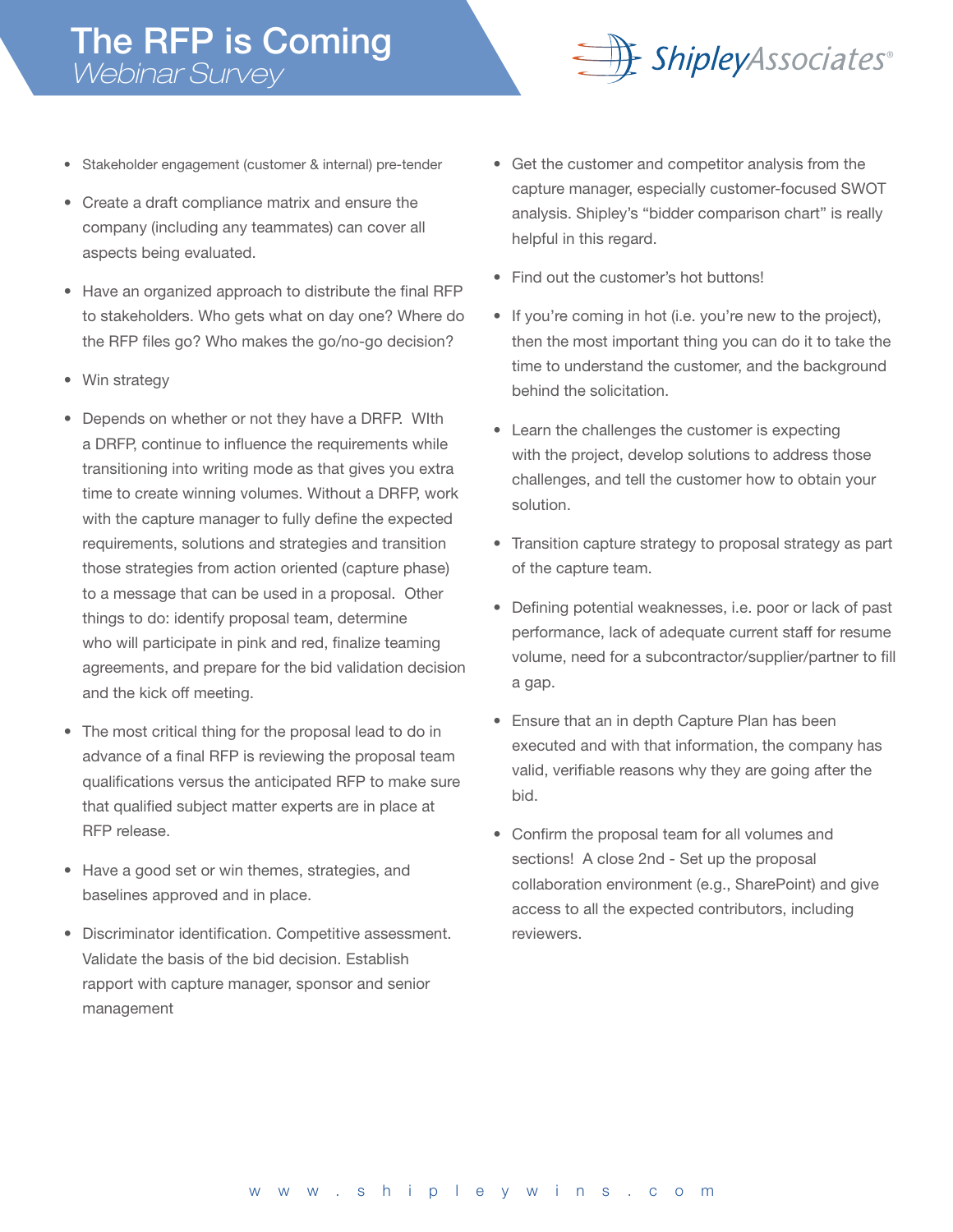

- Stakeholder engagement (customer & internal) pre-tender
- Create a draft compliance matrix and ensure the company (including any teammates) can cover all aspects being evaluated.
- Have an organized approach to distribute the final RFP to stakeholders. Who gets what on day one? Where do the RFP files go? Who makes the go/no-go decision?
- Win strategy
- Depends on whether or not they have a DRFP. WIth a DRFP, continue to influence the requirements while transitioning into writing mode as that gives you extra time to create winning volumes. Without a DRFP, work with the capture manager to fully define the expected requirements, solutions and strategies and transition those strategies from action oriented (capture phase) to a message that can be used in a proposal. Other things to do: identify proposal team, determine who will participate in pink and red, finalize teaming agreements, and prepare for the bid validation decision and the kick off meeting.
- The most critical thing for the proposal lead to do in advance of a final RFP is reviewing the proposal team qualifications versus the anticipated RFP to make sure that qualified subject matter experts are in place at RFP release.
- Have a good set or win themes, strategies, and baselines approved and in place.
- Discriminator identification. Competitive assessment. Validate the basis of the bid decision. Establish rapport with capture manager, sponsor and senior management
- Get the customer and competitor analysis from the capture manager, especially customer-focused SWOT analysis. Shipley's "bidder comparison chart" is really helpful in this regard.
- Find out the customer's hot buttons!
- If you're coming in hot (i.e. you're new to the project), then the most important thing you can do it to take the time to understand the customer, and the background behind the solicitation.
- Learn the challenges the customer is expecting with the project, develop solutions to address those challenges, and tell the customer how to obtain your solution.
- Transition capture strategy to proposal strategy as part of the capture team.
- Defining potential weaknesses, i.e. poor or lack of past performance, lack of adequate current staff for resume volume, need for a subcontractor/supplier/partner to fill a gap.
- Ensure that an in depth Capture Plan has been executed and with that information, the company has valid, verifiable reasons why they are going after the bid.
- Confirm the proposal team for all volumes and sections! A close 2nd - Set up the proposal collaboration environment (e.g., SharePoint) and give access to all the expected contributors, including reviewers.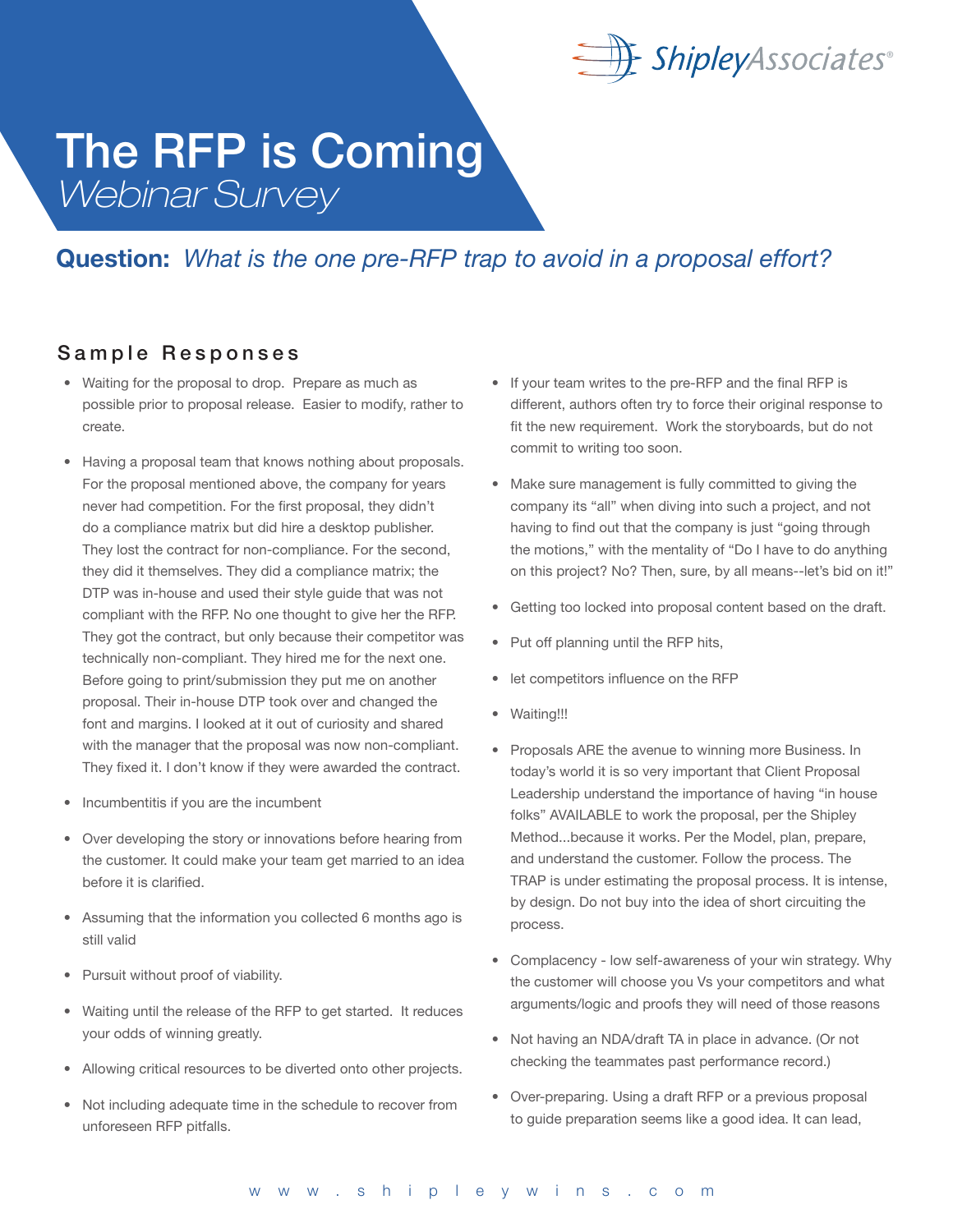

### Question: *What is the one pre-RFP trap to avoid in a proposal effort?*

#### Sample Responses

- Waiting for the proposal to drop. Prepare as much as possible prior to proposal release. Easier to modify, rather to create.
- Having a proposal team that knows nothing about proposals. For the proposal mentioned above, the company for years never had competition. For the first proposal, they didn't do a compliance matrix but did hire a desktop publisher. They lost the contract for non-compliance. For the second, they did it themselves. They did a compliance matrix; the DTP was in-house and used their style guide that was not compliant with the RFP. No one thought to give her the RFP. They got the contract, but only because their competitor was technically non-compliant. They hired me for the next one. Before going to print/submission they put me on another proposal. Their in-house DTP took over and changed the font and margins. I looked at it out of curiosity and shared with the manager that the proposal was now non-compliant. They fixed it. I don't know if they were awarded the contract.
- Incumbentitis if you are the incumbent
- Over developing the story or innovations before hearing from the customer. It could make your team get married to an idea before it is clarified.
- Assuming that the information you collected 6 months ago is still valid
- Pursuit without proof of viability.
- Waiting until the release of the RFP to get started. It reduces your odds of winning greatly.
- Allowing critical resources to be diverted onto other projects.
- Not including adequate time in the schedule to recover from unforeseen RFP pitfalls.
- If your team writes to the pre-RFP and the final RFP is different, authors often try to force their original response to fit the new requirement. Work the storyboards, but do not commit to writing too soon.
- Make sure management is fully committed to giving the company its "all" when diving into such a project, and not having to find out that the company is just "going through the motions," with the mentality of "Do I have to do anything on this project? No? Then, sure, by all means--let's bid on it!"
- Getting too locked into proposal content based on the draft.
- Put off planning until the RFP hits,
- let competitors influence on the RFP
- Waiting!!!
- Proposals ARE the avenue to winning more Business. In today's world it is so very important that Client Proposal Leadership understand the importance of having "in house folks" AVAILABLE to work the proposal, per the Shipley Method...because it works. Per the Model, plan, prepare, and understand the customer. Follow the process. The TRAP is under estimating the proposal process. It is intense, by design. Do not buy into the idea of short circuiting the process.
- Complacency low self-awareness of your win strategy. Why the customer will choose you Vs your competitors and what arguments/logic and proofs they will need of those reasons
- Not having an NDA/draft TA in place in advance. (Or not checking the teammates past performance record.)
- Over-preparing. Using a draft RFP or a previous proposal to guide preparation seems like a good idea. It can lead,